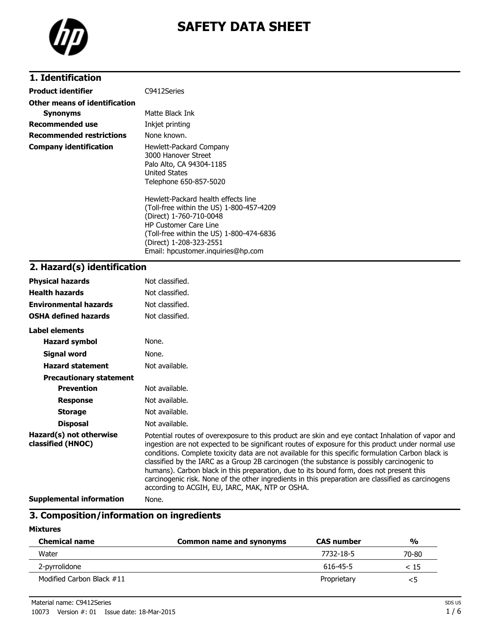

# **SAFETY DATA SHEET**

## **1. Identification**

| Product identifier              | C9412Series                                                                                                                                                                                                       |
|---------------------------------|-------------------------------------------------------------------------------------------------------------------------------------------------------------------------------------------------------------------|
| Other means of identification   |                                                                                                                                                                                                                   |
| <b>Synonyms</b>                 | Matte Black Ink                                                                                                                                                                                                   |
| <b>Recommended use</b>          | Inkjet printing                                                                                                                                                                                                   |
| <b>Recommended restrictions</b> | None known.                                                                                                                                                                                                       |
| <b>Company identification</b>   | Hewlett-Packard Company<br>3000 Hanover Street<br>Palo Alto, CA 94304-1185<br>United States<br>Telephone 650-857-5020                                                                                             |
|                                 | Hewlett-Packard health effects line<br>(Toll-free within the US) 1-800-457-4209<br>(Direct) 1-760-710-0048<br><b>HP Customer Care Line</b><br>(Toll-free within the US) 1-800-474-6836<br>(Direct) 1-208-323-2551 |

Email: hpcustomer.inquiries@hp.com

## **2. Hazard(s) identification**

| <b>Physical hazards</b>                      | Not classified.                                                                                                                                                                                                                                                                                                                                                                                                                                                                                                                                                                                                                                                |
|----------------------------------------------|----------------------------------------------------------------------------------------------------------------------------------------------------------------------------------------------------------------------------------------------------------------------------------------------------------------------------------------------------------------------------------------------------------------------------------------------------------------------------------------------------------------------------------------------------------------------------------------------------------------------------------------------------------------|
| <b>Health hazards</b>                        | Not classified.                                                                                                                                                                                                                                                                                                                                                                                                                                                                                                                                                                                                                                                |
| <b>Environmental hazards</b>                 | Not classified.                                                                                                                                                                                                                                                                                                                                                                                                                                                                                                                                                                                                                                                |
| <b>OSHA defined hazards</b>                  | Not classified.                                                                                                                                                                                                                                                                                                                                                                                                                                                                                                                                                                                                                                                |
| Label elements                               |                                                                                                                                                                                                                                                                                                                                                                                                                                                                                                                                                                                                                                                                |
| <b>Hazard symbol</b>                         | None.                                                                                                                                                                                                                                                                                                                                                                                                                                                                                                                                                                                                                                                          |
| Signal word                                  | None.                                                                                                                                                                                                                                                                                                                                                                                                                                                                                                                                                                                                                                                          |
| <b>Hazard statement</b>                      | Not available.                                                                                                                                                                                                                                                                                                                                                                                                                                                                                                                                                                                                                                                 |
| <b>Precautionary statement</b>               |                                                                                                                                                                                                                                                                                                                                                                                                                                                                                                                                                                                                                                                                |
| <b>Prevention</b>                            | Not available.                                                                                                                                                                                                                                                                                                                                                                                                                                                                                                                                                                                                                                                 |
| <b>Response</b>                              | Not available.                                                                                                                                                                                                                                                                                                                                                                                                                                                                                                                                                                                                                                                 |
| <b>Storage</b>                               | Not available.                                                                                                                                                                                                                                                                                                                                                                                                                                                                                                                                                                                                                                                 |
| <b>Disposal</b>                              | Not available.                                                                                                                                                                                                                                                                                                                                                                                                                                                                                                                                                                                                                                                 |
| Hazard(s) not otherwise<br>classified (HNOC) | Potential routes of overexposure to this product are skin and eye contact Inhalation of vapor and<br>ingestion are not expected to be significant routes of exposure for this product under normal use<br>conditions. Complete toxicity data are not available for this specific formulation Carbon black is<br>classified by the IARC as a Group 2B carcinogen (the substance is possibly carcinogenic to<br>humans). Carbon black in this preparation, due to its bound form, does not present this<br>carcinogenic risk. None of the other ingredients in this preparation are classified as carcinogens<br>according to ACGIH, EU, IARC, MAK, NTP or OSHA. |
| .                                            |                                                                                                                                                                                                                                                                                                                                                                                                                                                                                                                                                                                                                                                                |

**Supplemental information** None.

## **3. Composition/information on ingredients**

#### **Mixtures**

| <b>Chemical name</b>      | Common name and synonyms | <b>CAS</b> number | $\frac{0}{0}$ |
|---------------------------|--------------------------|-------------------|---------------|
| Water                     |                          | 7732-18-5         | 70-80         |
| 2-pyrrolidone             |                          | 616-45-5          | < 15          |
| Modified Carbon Black #11 |                          | Proprietary       | <5            |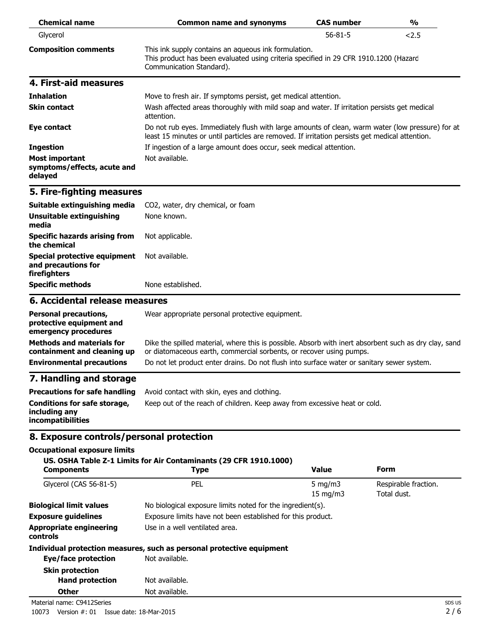| <b>Chemical name</b>                                            | <b>Common name and synonyms</b>                                                                                                                                                                    | <b>CAS number</b> | $\frac{1}{2}$ |
|-----------------------------------------------------------------|----------------------------------------------------------------------------------------------------------------------------------------------------------------------------------------------------|-------------------|---------------|
| Glycerol                                                        |                                                                                                                                                                                                    | $56 - 81 - 5$     | 2.5           |
| <b>Composition comments</b>                                     | This ink supply contains an aqueous ink formulation.<br>This product has been evaluated using criteria specified in 29 CFR 1910.1200 (Hazard<br>Communication Standard).                           |                   |               |
| 4. First-aid measures                                           |                                                                                                                                                                                                    |                   |               |
| <b>Inhalation</b>                                               | Move to fresh air. If symptoms persist, get medical attention.                                                                                                                                     |                   |               |
| <b>Skin contact</b>                                             | Wash affected areas thoroughly with mild soap and water. If irritation persists get medical<br>attention.                                                                                          |                   |               |
| Eye contact                                                     | Do not rub eyes. Immediately flush with large amounts of clean, warm water (low pressure) for at<br>least 15 minutes or until particles are removed. If irritation persists get medical attention. |                   |               |
| <b>Ingestion</b>                                                | If ingestion of a large amount does occur, seek medical attention.                                                                                                                                 |                   |               |
| <b>Most important</b><br>symptoms/effects, acute and<br>delayed | Not available.                                                                                                                                                                                     |                   |               |

## **5. Fire-fighting measures**

| Suitable extinguishing media                                                       | CO2, water, dry chemical, or foam |
|------------------------------------------------------------------------------------|-----------------------------------|
| Unsuitable extinguishing<br>media                                                  | None known.                       |
| <b>Specific hazards arising from</b><br>the chemical                               | Not applicable.                   |
| Special protective equipment Not available.<br>and precautions for<br>firefighters |                                   |
| <b>Specific methods</b>                                                            | None established.                 |

#### **6. Accidental release measures**

| <b>Personal precautions,</b><br>protective equipment and<br>emergency procedures | Wear appropriate personal protective equipment.                                                                                                                              |
|----------------------------------------------------------------------------------|------------------------------------------------------------------------------------------------------------------------------------------------------------------------------|
| <b>Methods and materials for</b><br>containment and cleaning up                  | Dike the spilled material, where this is possible. Absorb with inert absorbent such as dry clay, sand<br>or diatomaceous earth, commercial sorbents, or recover using pumps. |
| <b>Environmental precautions</b>                                                 | Do not let product enter drains. Do not flush into surface water or sanitary sewer system.                                                                                   |
| 7 Handling and ctorago                                                           |                                                                                                                                                                              |

## **7. Handling and storage**

| Precautions for safe handling                                      | Avoid contact with skin, eyes and clothing.                               |
|--------------------------------------------------------------------|---------------------------------------------------------------------------|
| Conditions for safe storage,<br>including any<br>incompatibilities | Keep out of the reach of children. Keep away from excessive heat or cold. |

## **8. Exposure controls/personal protection**

#### **Occupational exposure limits**

#### **US. OSHA Table Z-1 Limits for Air Contaminants (29 CFR 1910.1000)**

| <b>Components</b>                                 | Type                                                                  | <b>Value</b>                                                | Form                                |
|---------------------------------------------------|-----------------------------------------------------------------------|-------------------------------------------------------------|-------------------------------------|
| Glycerol (CAS 56-81-5)                            | PEL.                                                                  | 5 mg/m $3$<br>$15 \text{ mg/m}$                             | Respirable fraction.<br>Total dust. |
| <b>Biological limit values</b>                    | No biological exposure limits noted for the ingredient(s).            |                                                             |                                     |
| <b>Exposure guidelines</b>                        |                                                                       | Exposure limits have not been established for this product. |                                     |
| <b>Appropriate engineering</b><br><b>controls</b> | Use in a well ventilated area.                                        |                                                             |                                     |
|                                                   | Individual protection measures, such as personal protective equipment |                                                             |                                     |
| Eye/face protection                               | Not available.                                                        |                                                             |                                     |
| <b>Skin protection</b>                            |                                                                       |                                                             |                                     |
| <b>Hand protection</b>                            | Not available.                                                        |                                                             |                                     |
| <b>Other</b>                                      | Not available.                                                        |                                                             |                                     |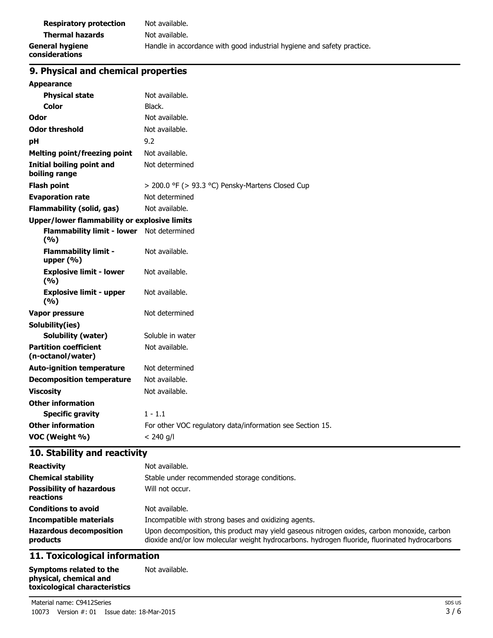| <b>Respiratory protection</b>     | Not available.                                                         |
|-----------------------------------|------------------------------------------------------------------------|
| <b>Thermal hazards</b>            | Not available.                                                         |
| General hygiene<br>considerations | Handle in accordance with good industrial hygiene and safety practice. |

# **9. Physical and chemical properties**

| <b>Appearance</b>                                 |                                                           |  |
|---------------------------------------------------|-----------------------------------------------------------|--|
| <b>Physical state</b>                             | Not available.                                            |  |
| Color                                             | Black.                                                    |  |
| Odor                                              | Not available.                                            |  |
| <b>Odor threshold</b>                             | Not available.                                            |  |
| рH                                                | 9.2                                                       |  |
| <b>Melting point/freezing point</b>               | Not available.                                            |  |
| <b>Initial boiling point and</b><br>boiling range | Not determined                                            |  |
| <b>Flash point</b>                                | > 200.0 °F (> 93.3 °C) Pensky-Martens Closed Cup          |  |
| <b>Evaporation rate</b>                           | Not determined                                            |  |
| <b>Flammability (solid, gas)</b>                  | Not available.                                            |  |
| Upper/lower flammability or explosive limits      |                                                           |  |
| Flammability limit - lower Not determined<br>(%)  |                                                           |  |
| <b>Flammability limit -</b><br>upper $(% )$       | Not available.                                            |  |
| <b>Explosive limit - lower</b><br>(%)             | Not available.                                            |  |
| <b>Explosive limit - upper</b><br>(9/6)           | Not available.                                            |  |
| Vapor pressure                                    | Not determined                                            |  |
| Solubility(ies)                                   |                                                           |  |
| <b>Solubility (water)</b>                         | Soluble in water                                          |  |
| <b>Partition coefficient</b><br>(n-octanol/water) | Not available.                                            |  |
| <b>Auto-ignition temperature</b>                  | Not determined                                            |  |
| <b>Decomposition temperature</b>                  | Not available.                                            |  |
| <b>Viscosity</b>                                  | Not available.                                            |  |
| <b>Other information</b>                          |                                                           |  |
| <b>Specific gravity</b>                           | $1 - 1.1$                                                 |  |
| <b>Other information</b>                          | For other VOC regulatory data/information see Section 15. |  |
| VOC (Weight %)                                    | $< 240$ g/l                                               |  |

## **10. Stability and reactivity**

| <b>Reactivity</b><br><b>Chemical stability</b><br><b>Possibility of hazardous</b><br>reactions | Not available.<br>Stable under recommended storage conditions.<br>Will not occur.                                                                                                            |
|------------------------------------------------------------------------------------------------|----------------------------------------------------------------------------------------------------------------------------------------------------------------------------------------------|
| <b>Conditions to avoid</b>                                                                     | Not available.                                                                                                                                                                               |
| <b>Incompatible materials</b>                                                                  | Incompatible with strong bases and oxidizing agents.                                                                                                                                         |
| <b>Hazardous decomposition</b><br>products                                                     | Upon decomposition, this product may yield gaseous nitrogen oxides, carbon monoxide, carbon<br>dioxide and/or low molecular weight hydrocarbons. hydrogen fluoride, fluorinated hydrocarbons |

## **11. Toxicological information**

**Symptoms related to the physical, chemical and toxicological characteristics** Not available.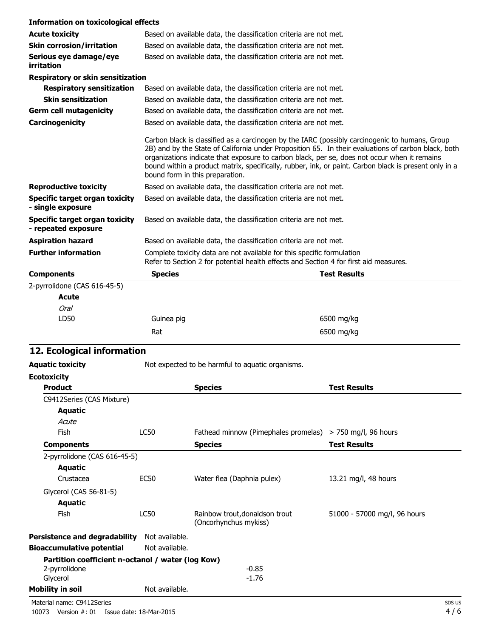| <b>Information on toxicological effects</b>                  |                                 |                                                                                                                                                                                                                                                                                                                                                                                                                |
|--------------------------------------------------------------|---------------------------------|----------------------------------------------------------------------------------------------------------------------------------------------------------------------------------------------------------------------------------------------------------------------------------------------------------------------------------------------------------------------------------------------------------------|
| <b>Acute toxicity</b>                                        |                                 | Based on available data, the classification criteria are not met.                                                                                                                                                                                                                                                                                                                                              |
| <b>Skin corrosion/irritation</b>                             |                                 | Based on available data, the classification criteria are not met.                                                                                                                                                                                                                                                                                                                                              |
| Serious eye damage/eye<br>irritation                         |                                 | Based on available data, the classification criteria are not met.                                                                                                                                                                                                                                                                                                                                              |
| <b>Respiratory or skin sensitization</b>                     |                                 |                                                                                                                                                                                                                                                                                                                                                                                                                |
| <b>Respiratory sensitization</b>                             |                                 | Based on available data, the classification criteria are not met.                                                                                                                                                                                                                                                                                                                                              |
| <b>Skin sensitization</b>                                    |                                 | Based on available data, the classification criteria are not met.                                                                                                                                                                                                                                                                                                                                              |
| <b>Germ cell mutagenicity</b>                                |                                 | Based on available data, the classification criteria are not met.                                                                                                                                                                                                                                                                                                                                              |
| Carcinogenicity                                              |                                 | Based on available data, the classification criteria are not met.                                                                                                                                                                                                                                                                                                                                              |
|                                                              | bound form in this preparation. | Carbon black is classified as a carcinogen by the IARC (possibly carcinogenic to humans, Group<br>2B) and by the State of California under Proposition 65. In their evaluations of carbon black, both<br>organizations indicate that exposure to carbon black, per se, does not occur when it remains<br>bound within a product matrix, specifically, rubber, ink, or paint. Carbon black is present only in a |
| <b>Reproductive toxicity</b>                                 |                                 | Based on available data, the classification criteria are not met.                                                                                                                                                                                                                                                                                                                                              |
| Specific target organ toxicity<br>- single exposure          |                                 | Based on available data, the classification criteria are not met.                                                                                                                                                                                                                                                                                                                                              |
| <b>Specific target organ toxicity</b><br>- repeated exposure |                                 | Based on available data, the classification criteria are not met.                                                                                                                                                                                                                                                                                                                                              |
| <b>Aspiration hazard</b>                                     |                                 | Based on available data, the classification criteria are not met.                                                                                                                                                                                                                                                                                                                                              |
| <b>Further information</b>                                   |                                 | Complete toxicity data are not available for this specific formulation<br>Refer to Section 2 for potential health effects and Section 4 for first aid measures.                                                                                                                                                                                                                                                |
| <b>Components</b>                                            | <b>Species</b>                  | <b>Test Results</b>                                                                                                                                                                                                                                                                                                                                                                                            |
| 2-pyrrolidone (CAS 616-45-5)                                 |                                 |                                                                                                                                                                                                                                                                                                                                                                                                                |
| <b>Acute</b>                                                 |                                 |                                                                                                                                                                                                                                                                                                                                                                                                                |
| Oral                                                         |                                 |                                                                                                                                                                                                                                                                                                                                                                                                                |
| LD50                                                         | Guinea pig                      | 6500 mg/kg                                                                                                                                                                                                                                                                                                                                                                                                     |

## **12. Ecological information**

| <b>Aquatic toxicity</b>                           | Not expected to be harmful to aquatic organisms. |                                                           |                              |  |
|---------------------------------------------------|--------------------------------------------------|-----------------------------------------------------------|------------------------------|--|
| <b>Ecotoxicity</b>                                |                                                  |                                                           |                              |  |
| <b>Product</b>                                    |                                                  | <b>Species</b>                                            | <b>Test Results</b>          |  |
| C9412Series (CAS Mixture)                         |                                                  |                                                           |                              |  |
| <b>Aquatic</b>                                    |                                                  |                                                           |                              |  |
| Acute                                             |                                                  |                                                           |                              |  |
| <b>Fish</b>                                       | <b>LC50</b>                                      | Fathead minnow (Pimephales promelas) > 750 mg/l, 96 hours |                              |  |
| <b>Components</b>                                 |                                                  | <b>Species</b>                                            | <b>Test Results</b>          |  |
| 2-pyrrolidone (CAS 616-45-5)                      |                                                  |                                                           |                              |  |
| Aquatic                                           |                                                  |                                                           |                              |  |
| Crustacea                                         | <b>EC50</b>                                      | Water flea (Daphnia pulex)                                | 13.21 mg/l, 48 hours         |  |
| Glycerol (CAS 56-81-5)                            |                                                  |                                                           |                              |  |
| <b>Aquatic</b>                                    |                                                  |                                                           |                              |  |
| <b>Fish</b>                                       | <b>LC50</b>                                      | Rainbow trout, donaldson trout<br>(Oncorhynchus mykiss)   | 51000 - 57000 mg/l, 96 hours |  |
| <b>Persistence and degradability</b>              | Not available.                                   |                                                           |                              |  |
| <b>Bioaccumulative potential</b>                  | Not available.                                   |                                                           |                              |  |
| Partition coefficient n-octanol / water (log Kow) |                                                  |                                                           |                              |  |
| 2-pyrrolidone                                     |                                                  | $-0.85$                                                   |                              |  |
| Glycerol                                          |                                                  | $-1.76$                                                   |                              |  |
| <b>Mobility in soil</b>                           | Not available.                                   |                                                           |                              |  |

Rat 6500 mg/kg

Material name: C9412Series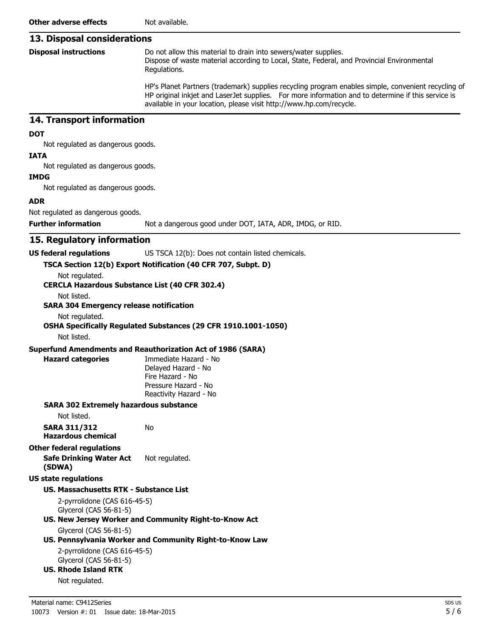## **13. Disposal considerations**

|  | <b>Disposal instructions</b> |
|--|------------------------------|
|--|------------------------------|

Do not allow this material to drain into sewers/water supplies. Dispose of waste material according to Local, State, Federal, and Provincial Environmental Regulations.

HP's Planet Partners (trademark) supplies recycling program enables simple, convenient recycling of HP original inkjet and LaserJet supplies. For more information and to determine if this service is available in your location, please visit http://www.hp.com/recycle.

### **14. Transport information**

#### **DOT**

Not regulated as dangerous goods.

## **IATA**

Not regulated as dangerous goods.

#### **IMDG**

Not regulated as dangerous goods.

#### **ADR**

Not regulated as dangerous goods.

**Further information** Not a dangerous good under DOT, IATA, ADR, IMDG, or RID.

## **15. Regulatory information**

#### **US federal regulations** US TSCA 12(b): Does not contain listed chemicals.

**TSCA Section 12(b) Export Notification (40 CFR 707, Subpt. D)**

Not regulated. **CERCLA Hazardous Substance List (40 CFR 302.4)**

Not listed.

#### **SARA 304 Emergency release notification**

Not regulated.

## **OSHA Specifically Regulated Substances (29 CFR 1910.1001-1050)**

Not listed.

#### **Superfund Amendments and Reauthorization Act of 1986 (SARA)**

No

**Hazard categories** Immediate Hazard - No Delayed Hazard - No Fire Hazard - No Pressure Hazard - No Reactivity Hazard - No

#### **SARA 302 Extremely hazardous substance**

Not listed.

**SARA 311/312 Hazardous chemical**

#### **Other federal regulations**

**Safe Drinking Water Act (SDWA)** Not regulated.

#### **US state regulations**

#### **US. Massachusetts RTK - Substance List**

2-pyrrolidone (CAS 616-45-5) Glycerol (CAS 56-81-5)

## **US. New Jersey Worker and Community Right-to-Know Act**

## Glycerol (CAS 56-81-5)

## **US. Pennsylvania Worker and Community Right-to-Know Law**

2-pyrrolidone (CAS 616-45-5) Glycerol (CAS 56-81-5)

## **US. Rhode Island RTK**

Not regulated.